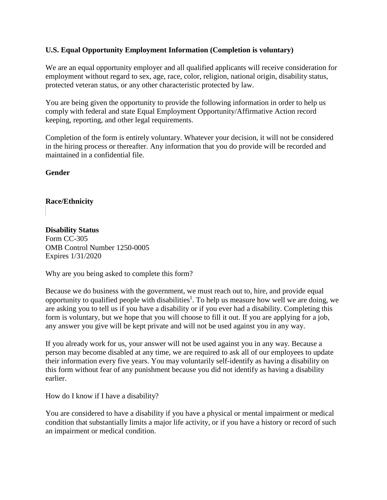## **U.S. Equal Opportunity Employment Information (Completion is voluntary)**

We are an equal opportunity employer and all qualified applicants will receive consideration for employment without regard to sex, age, race, color, religion, national origin, disability status, protected veteran status, or any other characteristic protected by law.

You are being given the opportunity to provide the following information in order to help us comply with federal and state Equal Employment Opportunity/Affirmative Action record keeping, reporting, and other legal requirements.

Completion of the form is entirely voluntary. Whatever your decision, it will not be considered in the hiring process or thereafter. Any information that you do provide will be recorded and maintained in a confidential file.

**Gender**

## **Race/Ethnicity**

**Disability Status**  Form CC-305 OMB Control Number 1250-0005 Expires 1/31/2020

Why are you being asked to complete this form?

Because we do business with the government, we must reach out to, hire, and provide equal opportunity to qualified people with disabilities<sup>1</sup>. To help us measure how well we are doing, we are asking you to tell us if you have a disability or if you ever had a disability. Completing this form is voluntary, but we hope that you will choose to fill it out. If you are applying for a job, any answer you give will be kept private and will not be used against you in any way.

If you already work for us, your answer will not be used against you in any way. Because a person may become disabled at any time, we are required to ask all of our employees to update their information every five years. You may voluntarily self-identify as having a disability on this form without fear of any punishment because you did not identify as having a disability earlier.

How do I know if I have a disability?

You are considered to have a disability if you have a physical or mental impairment or medical condition that substantially limits a major life activity, or if you have a history or record of such an impairment or medical condition.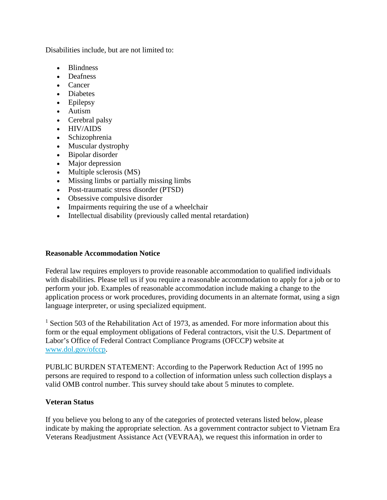Disabilities include, but are not limited to:

- Blindness
- Deafness
- Cancer
- Diabetes
- Epilepsy
- Autism
- Cerebral palsy
- HIV/AIDS
- Schizophrenia
- Muscular dystrophy
- Bipolar disorder
- Major depression
- Multiple sclerosis (MS)
- Missing limbs or partially missing limbs
- Post-traumatic stress disorder (PTSD)
- Obsessive compulsive disorder
- Impairments requiring the use of a wheelchair
- Intellectual disability (previously called mental retardation)

## **Reasonable Accommodation Notice**

Federal law requires employers to provide reasonable accommodation to qualified individuals with disabilities. Please tell us if you require a reasonable accommodation to apply for a job or to perform your job. Examples of reasonable accommodation include making a change to the application process or work procedures, providing documents in an alternate format, using a sign language interpreter, or using specialized equipment.

<sup>1</sup> Section 503 of the Rehabilitation Act of 1973, as amended. For more information about this form or the equal employment obligations of Federal contractors, visit the U.S. Department of Labor's Office of Federal Contract Compliance Programs (OFCCP) website at *<sup>U</sup>*[www.dol.gov/ofccp](https://crowne-plaza-aire-bloomington.careerplug.com/jobs/739556/apps/www.dol.gov/ofccp)*U*.

PUBLIC BURDEN STATEMENT: According to the Paperwork Reduction Act of 1995 no persons are required to respond to a collection of information unless such collection displays a valid OMB control number. This survey should take about 5 minutes to complete.

## **Veteran Status**

If you believe you belong to any of the categories of protected veterans listed below, please indicate by making the appropriate selection. As a government contractor subject to Vietnam Era Veterans Readjustment Assistance Act (VEVRAA), we request this information in order to